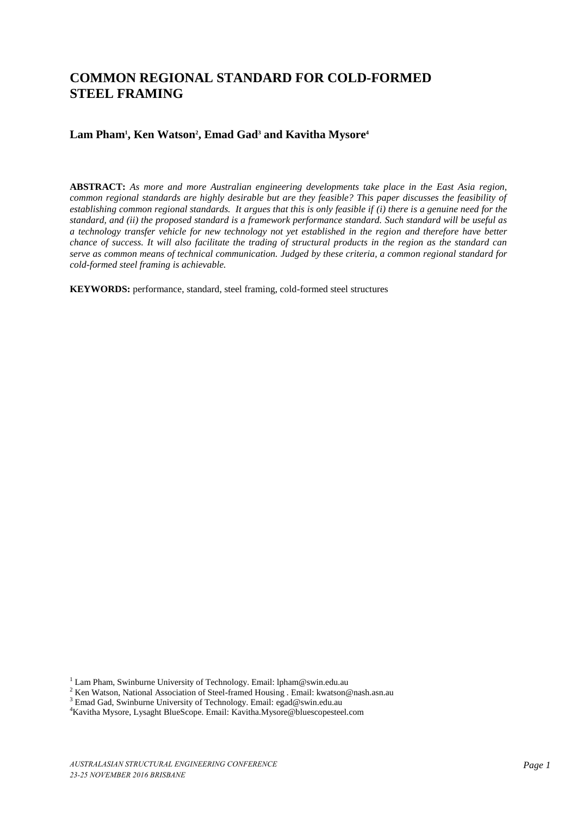# **COMMON REGIONAL STANDARD FOR COLD-FORMED STEEL FRAMING**

# **Lam Pham<sup>1</sup> , Ken Watson<sup>2</sup> , Emad Gad<sup>3</sup> and Kavitha Mysore<sup>4</sup>**

**ABSTRACT:** *As more and more Australian engineering developments take place in the East Asia region, common regional standards are highly desirable but are they feasible? This paper discusses the feasibility of establishing common regional standards. It argues that this is only feasible if (i) there is a genuine need for the standard, and (ii) the proposed standard is a framework performance standard. Such standard will be useful as a technology transfer vehicle for new technology not yet established in the region and therefore have better chance of success. It will also facilitate the trading of structural products in the region as the standard can serve as common means of technical communication. Judged by these criteria, a common regional standard for cold-formed steel framing is achievable.* 

**KEYWORDS:** performance, standard, steel framing, cold-formed steel structures

<sup>&</sup>lt;sup>1</sup> Lam Pham, Swinburne University of Technology. Email: lpham@swin.edu.au

<sup>&</sup>lt;sup>2</sup> Ken Watson, National Association of Steel-framed Housing . Email: kwatson@nash.asn.au

<sup>&</sup>lt;sup>3</sup> Emad Gad, Swinburne University of Technology. Email: [egad@swin.edu.au](mailto:egad@swin.edu.au)

<sup>4</sup>Kavitha Mysore, Lysaght BlueScope. Email: Kavitha.Mysore@bluescopesteel.com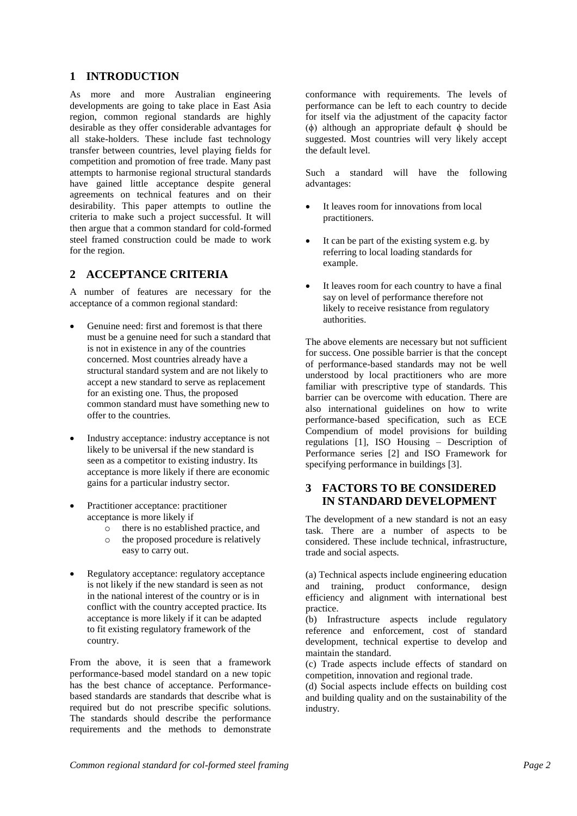## **1 INTRODUCTION**

As more and more Australian engineering developments are going to take place in East Asia region, common regional standards are highly desirable as they offer considerable advantages for all stake-holders. These include fast technology transfer between countries, level playing fields for competition and promotion of free trade. Many past attempts to harmonise regional structural standards have gained little acceptance despite general agreements on technical features and on their desirability. This paper attempts to outline the criteria to make such a project successful. It will then argue that a common standard for cold-formed steel framed construction could be made to work for the region.

## **2 ACCEPTANCE CRITERIA**

A number of features are necessary for the acceptance of a common regional standard:

- Genuine need: first and foremost is that there must be a genuine need for such a standard that is not in existence in any of the countries concerned. Most countries already have a structural standard system and are not likely to accept a new standard to serve as replacement for an existing one. Thus, the proposed common standard must have something new to offer to the countries.
- Industry acceptance: industry acceptance is not likely to be universal if the new standard is seen as a competitor to existing industry. Its acceptance is more likely if there are economic gains for a particular industry sector.
- Practitioner acceptance: practitioner acceptance is more likely if
	- o there is no established practice, and
	- o the proposed procedure is relatively easy to carry out.
- Regulatory acceptance: regulatory acceptance is not likely if the new standard is seen as not in the national interest of the country or is in conflict with the country accepted practice. Its acceptance is more likely if it can be adapted to fit existing regulatory framework of the country.

From the above, it is seen that a framework performance-based model standard on a new topic has the best chance of acceptance. Performancebased standards are standards that describe what is required but do not prescribe specific solutions. The standards should describe the performance requirements and the methods to demonstrate

conformance with requirements. The levels of performance can be left to each country to decide for itself via the adjustment of the capacity factor (ϕ) although an appropriate default ϕ should be suggested. Most countries will very likely accept the default level.

Such a standard will have the following advantages:

- It leaves room for innovations from local practitioners.
- It can be part of the existing system e.g. by referring to local loading standards for example.
- It leaves room for each country to have a final say on level of performance therefore not likely to receive resistance from regulatory authorities.

The above elements are necessary but not sufficient for success. One possible barrier is that the concept of performance-based standards may not be well understood by local practitioners who are more familiar with prescriptive type of standards. This barrier can be overcome with education. There are also international guidelines on how to write performance-based specification, such as ECE Compendium of model provisions for building regulations [1], ISO Housing – Description of Performance series [2] and ISO Framework for specifying performance in buildings [3].

## **3 FACTORS TO BE CONSIDERED IN STANDARD DEVELOPMENT**

The development of a new standard is not an easy task. There are a number of aspects to be considered. These include technical, infrastructure, trade and social aspects.

(a) Technical aspects include engineering education and training, product conformance, design efficiency and alignment with international best practice.

(b) Infrastructure aspects include regulatory reference and enforcement, cost of standard development, technical expertise to develop and maintain the standard.

(c) Trade aspects include effects of standard on competition, innovation and regional trade.

(d) Social aspects include effects on building cost and building quality and on the sustainability of the industry.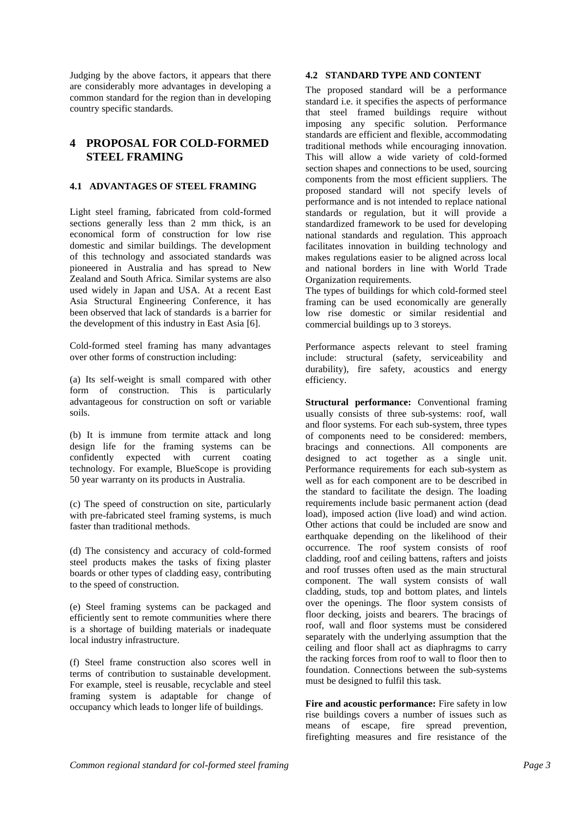Judging by the above factors, it appears that there are considerably more advantages in developing a common standard for the region than in developing country specific standards.

## **4 PROPOSAL FOR COLD-FORMED STEEL FRAMING**

## **4.1 ADVANTAGES OF STEEL FRAMING**

Light steel framing, fabricated from cold-formed sections generally less than 2 mm thick, is an economical form of construction for low rise domestic and similar buildings. The development of this technology and associated standards was pioneered in Australia and has spread to New Zealand and South Africa. Similar systems are also used widely in Japan and USA. At a recent East Asia Structural Engineering Conference, it has been observed that lack of standards is a barrier for the development of this industry in East Asia [6].

Cold-formed steel framing has many advantages over other forms of construction including:

(a) Its self-weight is small compared with other form of construction. This is particularly advantageous for construction on soft or variable soils.

(b) It is immune from termite attack and long design life for the framing systems can be confidently expected with current coating technology. For example, BlueScope is providing 50 year warranty on its products in Australia.

(c) The speed of construction on site, particularly with pre-fabricated steel framing systems, is much faster than traditional methods.

(d) The consistency and accuracy of cold-formed steel products makes the tasks of fixing plaster boards or other types of cladding easy, contributing to the speed of construction.

(e) Steel framing systems can be packaged and efficiently sent to remote communities where there is a shortage of building materials or inadequate local industry infrastructure.

(f) Steel frame construction also scores well in terms of contribution to sustainable development. For example, steel is reusable, recyclable and steel framing system is adaptable for change of occupancy which leads to longer life of buildings.

#### **4.2 STANDARD TYPE AND CONTENT**

The proposed standard will be a performance standard i.e. it specifies the aspects of performance that steel framed buildings require without imposing any specific solution. Performance standards are efficient and flexible, accommodating traditional methods while encouraging innovation. This will allow a wide variety of cold-formed section shapes and connections to be used, sourcing components from the most efficient suppliers. The proposed standard will not specify levels of performance and is not intended to replace national standards or regulation, but it will provide a standardized framework to be used for developing national standards and regulation. This approach facilitates innovation in building technology and makes regulations easier to be aligned across local and national borders in line with World Trade Organization requirements.

The types of buildings for which cold-formed steel framing can be used economically are generally low rise domestic or similar residential and commercial buildings up to 3 storeys.

Performance aspects relevant to steel framing include: structural (safety, serviceability and durability), fire safety, acoustics and energy efficiency.

**Structural performance:** Conventional framing usually consists of three sub-systems: roof, wall and floor systems. For each sub-system, three types of components need to be considered: members, bracings and connections. All components are designed to act together as a single unit. Performance requirements for each sub-system as well as for each component are to be described in the standard to facilitate the design. The loading requirements include basic permanent action (dead load), imposed action (live load) and wind action. Other actions that could be included are snow and earthquake depending on the likelihood of their occurrence. The roof system consists of roof cladding, roof and ceiling battens, rafters and joists and roof trusses often used as the main structural component. The wall system consists of wall cladding, studs, top and bottom plates, and lintels over the openings. The floor system consists of floor decking, joists and bearers. The bracings of roof, wall and floor systems must be considered separately with the underlying assumption that the ceiling and floor shall act as diaphragms to carry the racking forces from roof to wall to floor then to foundation. Connections between the sub-systems must be designed to fulfil this task.

**Fire and acoustic performance:** Fire safety in low rise buildings covers a number of issues such as means of escape, fire spread prevention, firefighting measures and fire resistance of the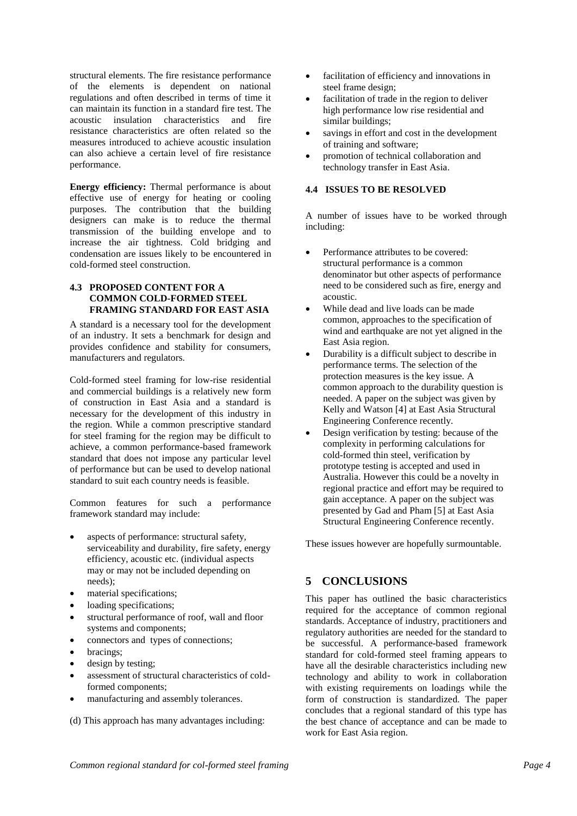structural elements. The fire resistance performance of the elements is dependent on national regulations and often described in terms of time it can maintain its function in a standard fire test. The acoustic insulation characteristics and fire resistance characteristics are often related so the measures introduced to achieve acoustic insulation can also achieve a certain level of fire resistance performance.

**Energy efficiency:** Thermal performance is about effective use of energy for heating or cooling purposes. The contribution that the building designers can make is to reduce the thermal transmission of the building envelope and to increase the air tightness. Cold bridging and condensation are issues likely to be encountered in cold-formed steel construction.

### **4.3 PROPOSED CONTENT FOR A COMMON COLD-FORMED STEEL FRAMING STANDARD FOR EAST ASIA**

A standard is a necessary tool for the development of an industry. It sets a benchmark for design and provides confidence and stability for consumers, manufacturers and regulators.

Cold-formed steel framing for low-rise residential and commercial buildings is a relatively new form of construction in East Asia and a standard is necessary for the development of this industry in the region. While a common prescriptive standard for steel framing for the region may be difficult to achieve, a common performance-based framework standard that does not impose any particular level of performance but can be used to develop national standard to suit each country needs is feasible.

Common features for such a performance framework standard may include:

- aspects of performance: structural safety, serviceability and durability, fire safety, energy efficiency, acoustic etc. (individual aspects may or may not be included depending on needs);
- material specifications;
- loading specifications;
- structural performance of roof, wall and floor systems and components;
- connectors and types of connections;
- bracings;
- design by testing;
- assessment of structural characteristics of coldformed components;
- manufacturing and assembly tolerances.

(d) This approach has many advantages including:

- facilitation of efficiency and innovations in steel frame design;
- facilitation of trade in the region to deliver high performance low rise residential and similar buildings;
- savings in effort and cost in the development of training and software;
- promotion of technical collaboration and technology transfer in East Asia.

#### **4.4 ISSUES TO BE RESOLVED**

A number of issues have to be worked through including:

- Performance attributes to be covered: structural performance is a common denominator but other aspects of performance need to be considered such as fire, energy and acoustic.
- While dead and live loads can be made common, approaches to the specification of wind and earthquake are not yet aligned in the East Asia region.
- Durability is a difficult subject to describe in performance terms. The selection of the protection measures is the key issue. A common approach to the durability question is needed. A paper on the subject was given by Kelly and Watson [4] at East Asia Structural Engineering Conference recently.
- Design verification by testing: because of the complexity in performing calculations for cold-formed thin steel, verification by prototype testing is accepted and used in Australia. However this could be a novelty in regional practice and effort may be required to gain acceptance. A paper on the subject was presented by Gad and Pham [5] at East Asia Structural Engineering Conference recently.

These issues however are hopefully surmountable.

## **5 CONCLUSIONS**

This paper has outlined the basic characteristics required for the acceptance of common regional standards. Acceptance of industry, practitioners and regulatory authorities are needed for the standard to be successful. A performance-based framework standard for cold-formed steel framing appears to have all the desirable characteristics including new technology and ability to work in collaboration with existing requirements on loadings while the form of construction is standardized. The paper concludes that a regional standard of this type has the best chance of acceptance and can be made to work for East Asia region.